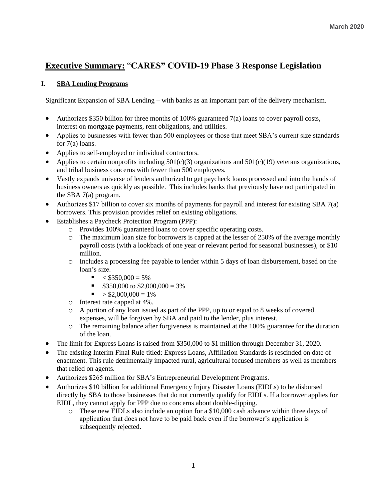# **Executive Summary:** "**CARES" COVID-19 Phase 3 Response Legislation**

## **I. SBA Lending Programs**

Significant Expansion of SBA Lending – with banks as an important part of the delivery mechanism.

- Authorizes \$350 billion for three months of  $100\%$  guaranteed  $7(a)$  loans to cover payroll costs, interest on mortgage payments, rent obligations, and utilities.
- Applies to businesses with fewer than 500 employees or those that meet SBA's current size standards for 7(a) loans.
- Applies to self-employed or individual contractors.
- Applies to certain nonprofits including  $501(c)(3)$  organizations and  $501(c)(19)$  veterans organizations, and tribal business concerns with fewer than 500 employees.
- Vastly expands universe of lenders authorized to get paycheck loans processed and into the hands of business owners as quickly as possible. This includes banks that previously have not participated in the SBA 7(a) program.
- Authorizes \$17 billion to cover six months of payments for payroll and interest for existing SBA 7(a) borrowers. This provision provides relief on existing obligations.
- Establishes a Paycheck Protection Program (PPP):
	- o Provides 100% guaranteed loans to cover specific operating costs.
	- $\circ$  The maximum loan size for borrowers is capped at the lesser of 250% of the average monthly payroll costs (with a lookback of one year or relevant period for seasonal businesses), or \$10 million.
	- o Includes a processing fee payable to lender within 5 days of loan disbursement, based on the loan's size.
		- $\blacktriangleright$  < \$350,000 = 5%
		- $\blacksquare$  \$350,000 to \$2,000,000 = 3%
		- $\blacksquare$  > \$2,000,000 = 1%
	- o Interest rate capped at 4%.
	- o A portion of any loan issued as part of the PPP, up to or equal to 8 weeks of covered expenses, will be forgiven by SBA and paid to the lender, plus interest.
	- o The remaining balance after forgiveness is maintained at the 100% guarantee for the duration of the loan.
- The limit for Express Loans is raised from \$350,000 to \$1 million through December 31, 2020.
- The existing Interim Final Rule titled: Express Loans, Affiliation Standards is rescinded on date of enactment. This rule detrimentally impacted rural, agricultural focused members as well as members that relied on agents.
- Authorizes \$265 million for SBA's Entrepreneurial Development Programs.
- Authorizes \$10 billion for additional Emergency Injury Disaster Loans (EIDLs) to be disbursed directly by SBA to those businesses that do not currently qualify for EIDLs. If a borrower applies for EIDL, they cannot apply for PPP due to concerns about double-dipping.
	- o These new EIDLs also include an option for a \$10,000 cash advance within three days of application that does not have to be paid back even if the borrower's application is subsequently rejected.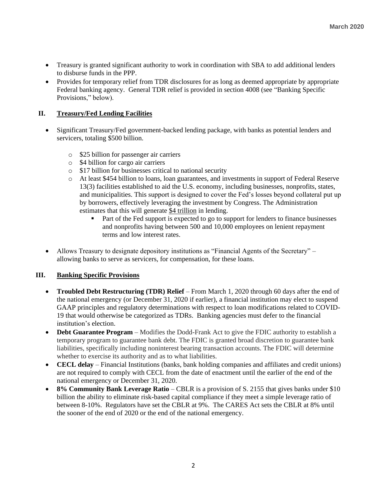- Treasury is granted significant authority to work in coordination with SBA to add additional lenders to disburse funds in the PPP.
- Provides for temporary relief from TDR disclosures for as long as deemed appropriate by appropriate Federal banking agency. General TDR relief is provided in section 4008 (see "Banking Specific Provisions," below).

## **II. Treasury/Fed Lending Facilities**

- Significant Treasury/Fed government-backed lending package, with banks as potential lenders and servicers, totaling \$500 billion.
	- o \$25 billion for passenger air carriers
	- o \$4 billion for cargo air carriers
	- o \$17 billion for businesses critical to national security
	- o At least \$454 billion to loans, loan guarantees, and investments in support of Federal Reserve 13(3) facilities established to aid the U.S. economy, including businesses, nonprofits, states, and municipalities. This support is designed to cover the Fed's losses beyond collateral put up by borrowers, effectively leveraging the investment by Congress. The Administration estimates that this will generate \$4 trillion in lending.
		- Part of the Fed support is expected to go to support for lenders to finance businesses and nonprofits having between 500 and 10,000 employees on lenient repayment terms and low interest rates.
- Allows Treasury to designate depository institutions as "Financial Agents of the Secretary" allowing banks to serve as servicers, for compensation, for these loans.

#### **III. Banking Specific Provisions**

- **Troubled Debt Restructuring (TDR) Relief** From March 1, 2020 through 60 days after the end of the national emergency (or December 31, 2020 if earlier), a financial institution may elect to suspend GAAP principles and regulatory determinations with respect to loan modifications related to COVID-19 that would otherwise be categorized as TDRs. Banking agencies must defer to the financial institution's election.
- **Debt Guarantee Program** Modifies the Dodd-Frank Act to give the FDIC authority to establish a temporary program to guarantee bank debt. The FDIC is granted broad discretion to guarantee bank liabilities, specifically including noninterest bearing transaction accounts. The FDIC will determine whether to exercise its authority and as to what liabilities.
- **CECL delay** Financial Institutions (banks, bank holding companies and affiliates and credit unions) are not required to comply with CECL from the date of enactment until the earlier of the end of the national emergency or December 31, 2020.
- **8% Community Bank Leverage Ratio** CBLR is a provision of S. 2155 that gives banks under \$10 billion the ability to eliminate risk-based capital compliance if they meet a simple leverage ratio of between 8-10%. Regulators have set the CBLR at 9%. The CARES Act sets the CBLR at 8% until the sooner of the end of 2020 or the end of the national emergency.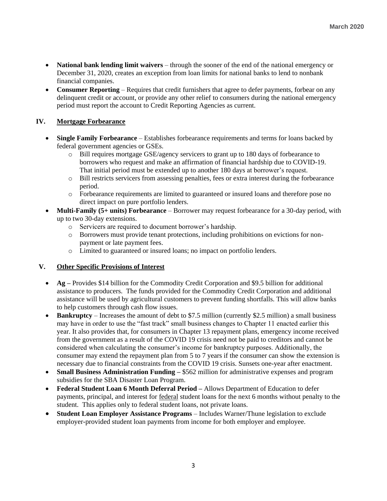- **National bank lending limit waivers** through the sooner of the end of the national emergency or December 31, 2020, creates an exception from loan limits for national banks to lend to nonbank financial companies.
- **Consumer Reporting** Requires that credit furnishers that agree to defer payments, forbear on any delinquent credit or account, or provide any other relief to consumers during the national emergency period must report the account to Credit Reporting Agencies as current.

## **IV. Mortgage Forbearance**

- **Single Family Forbearance** Establishes forbearance requirements and terms for loans backed by federal government agencies or GSEs.
	- o Bill requires mortgage GSE/agency servicers to grant up to 180 days of forbearance to borrowers who request and make an affirmation of financial hardship due to COVID-19. That initial period must be extended up to another 180 days at borrower's request.
	- o Bill restricts servicers from assessing penalties, fees or extra interest during the forbearance period.
	- o Forbearance requirements are limited to guaranteed or insured loans and therefore pose no direct impact on pure portfolio lenders.
- **Multi-Family (5+ units) Forbearance** Borrower may request forbearance for a 30-day period, with up to two 30-day extensions.
	- o Servicers are required to document borrower's hardship.
	- o Borrowers must provide tenant protections, including prohibitions on evictions for nonpayment or late payment fees.
	- o Limited to guaranteed or insured loans; no impact on portfolio lenders.

#### **V. Other Specific Provisions of Interest**

- **Ag –** Provides \$14 billion for the Commodity Credit Corporation and \$9.5 billion for additional assistance to producers. The funds provided for the Commodity Credit Corporation and additional assistance will be used by agricultural customers to prevent funding shortfalls. This will allow banks to help customers through cash flow issues.
- **Bankruptcy** Increases the amount of debt to \$7.5 million (currently \$2.5 million) a small business may have in order to use the "fast track" small business changes to Chapter 11 enacted earlier this year. It also provides that, for consumers in Chapter 13 repayment plans, emergency income received from the government as a result of the COVID 19 crisis need not be paid to creditors and cannot be considered when calculating the consumer's income for bankruptcy purposes. Additionally, the consumer may extend the repayment plan from 5 to 7 years if the consumer can show the extension is necessary due to financial constraints from the COVID 19 crisis. Sunsets one-year after enactment.
- **Small Business Administration Funding –** \$562 million for administrative expenses and program subsidies for the SBA Disaster Loan Program.
- **Federal Student Loan 6 Month Deferral Period –** Allows Department of Education to defer payments, principal, and interest for federal student loans for the next 6 months without penalty to the student. This applies only to federal student loans, not private loans.
- **Student Loan Employer Assistance Programs**  Includes Warner/Thune legislation to exclude employer-provided student loan payments from income for both employer and employee.